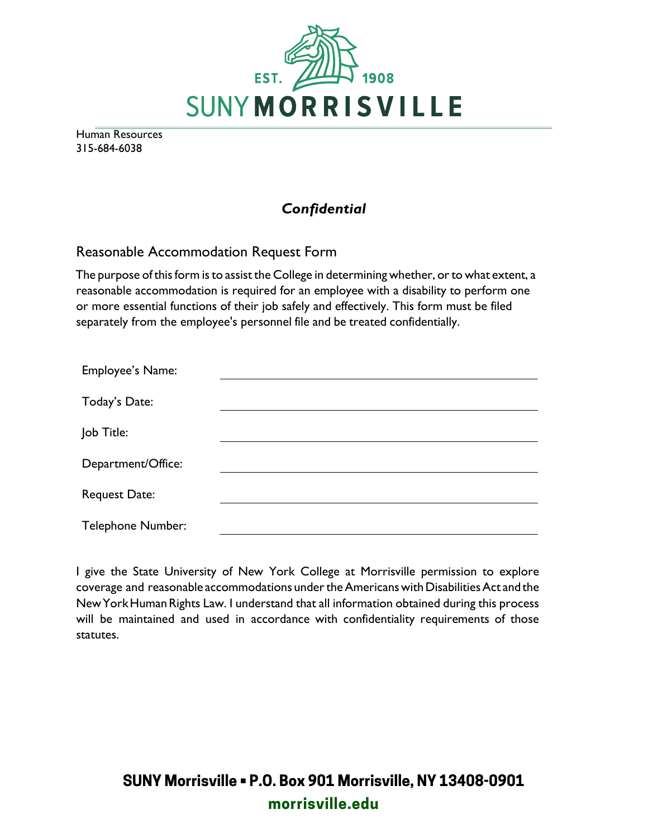

Human Resources 315-684-6038

### *Confidential*

#### Reasonable Accommodation Request Form

The purpose of this form is to assist the College in determining whether, or to what extent, a reasonable accommodation is required for an employee with a disability to perform one or more essential functions of their job safely and effectively. This form must be filed separately from the employee's personnel file and be treated confidentially.

| <b>Employee's Name:</b>  |  |
|--------------------------|--|
| Today's Date:            |  |
| Job Title:               |  |
| Department/Office:       |  |
| Request Date:            |  |
| <b>Telephone Number:</b> |  |

I give the State University of New York College at Morrisville permission to explore coverage and reasonable accommodations under the Americans with Disabilities Act and the New York Human Rights Law. I understand that all information obtained during this process will be maintained and used in accordance with confidentiality requirements of those statutes.

# **SUNY Morrisville • P.O. Box 901 Morrisville, NY 13408-0901 morrisville.edu**